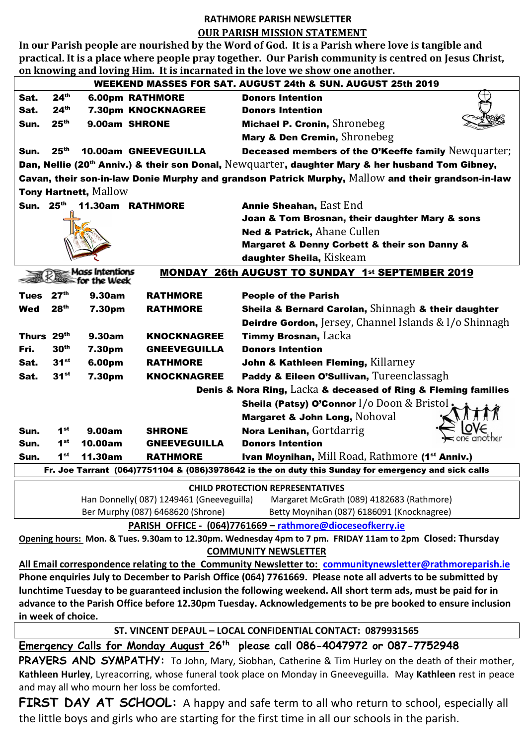## **RATHMORE PARISH NEWSLETTER OUR PARISH MISSION STATEMENT**

**In our Parish people are nourished by the Word of God. It is a Parish where love is tangible and practical. It is a place where people pray together. Our Parish community is centred on Jesus Christ, on knowing and loving Him. It is incarnated in the love we show one another.**

| WEEKEND MASSES FOR SAT. AUGUST 24th & SUN. AUGUST 25th 2019                                                  |                                                                                       |                            |                        |                                                                   |
|--------------------------------------------------------------------------------------------------------------|---------------------------------------------------------------------------------------|----------------------------|------------------------|-------------------------------------------------------------------|
| Sat.                                                                                                         | 24 <sup>th</sup>                                                                      |                            | <b>6.00pm RATHMORE</b> | <b>Donors Intention</b>                                           |
| Sat.                                                                                                         | 24 <sup>th</sup>                                                                      |                            | 7.30pm KNOCKNAGREE     | <b>Donors Intention</b>                                           |
| Sun.                                                                                                         | 25 <sup>th</sup>                                                                      | 9.00am SHRONE              |                        | Michael P. Cronin, Shronebeg                                      |
|                                                                                                              |                                                                                       |                            |                        | Mary & Den Cremin, Shronebeg                                      |
| Sun.                                                                                                         | 25 <sup>th</sup>                                                                      |                            | 10.00am GNEEVEGUILLA   | Deceased members of the O'Keeffe family Newquarter;               |
| Dan, Nellie (20 <sup>th</sup> Anniv.) & their son Donal, Newquarter, daughter Mary & her husband Tom Gibney, |                                                                                       |                            |                        |                                                                   |
| Cavan, their son-in-law Donie Murphy and grandson Patrick Murphy, Mallow and their grandson-in-law           |                                                                                       |                            |                        |                                                                   |
| Tony Hartnett, Mallow                                                                                        |                                                                                       |                            |                        |                                                                   |
|                                                                                                              |                                                                                       | Sun. 25th 11.30am RATHMORE |                        | Annie Sheahan, East End                                           |
|                                                                                                              |                                                                                       |                            |                        | Joan & Tom Brosnan, their daughter Mary & sons                    |
|                                                                                                              |                                                                                       |                            |                        | <b>Ned &amp; Patrick, Ahane Cullen</b>                            |
|                                                                                                              |                                                                                       |                            |                        | Margaret & Denny Corbett & their son Danny &                      |
|                                                                                                              |                                                                                       |                            |                        | daughter Sheila, Kiskeam                                          |
| $\geq$ Mass Intentions<br><b>MONDAY 26th AUGUST TO SUNDAY 1st SEPTEMBER 2019</b>                             |                                                                                       |                            |                        |                                                                   |
| $\le$ for the Week                                                                                           |                                                                                       |                            |                        |                                                                   |
| Tues                                                                                                         | 27 <sup>th</sup>                                                                      | 9.30am                     | <b>RATHMORE</b>        | <b>People of the Parish</b>                                       |
| <b>Wed</b>                                                                                                   | 28 <sup>th</sup>                                                                      | 7.30pm                     | <b>RATHMORE</b>        | Sheila & Bernard Carolan, Shinnagh & their daughter               |
|                                                                                                              |                                                                                       |                            |                        | <b>Deirdre Gordon, Jersey, Channel Islands &amp; I/o Shinnagh</b> |
| Thurs 29th                                                                                                   |                                                                                       | 9.30am                     | <b>KNOCKNAGREE</b>     | Timmy Brosnan, Lacka                                              |
| Fri.                                                                                                         | 30 <sup>th</sup>                                                                      | 7.30pm                     | <b>GNEEVEGUILLA</b>    | <b>Donors Intention</b>                                           |
| Sat.                                                                                                         | $31^{st}$                                                                             | 6.00pm                     | <b>RATHMORE</b>        | John & Kathleen Fleming, Killarney                                |
| Sat.                                                                                                         | $31^{st}$                                                                             | 7.30pm                     | <b>KNOCKNAGREE</b>     | Paddy & Eileen O'Sullivan, Tureenclassagh                         |
| Denis & Nora Ring, Lacka & deceased of Ring & Fleming families                                               |                                                                                       |                            |                        |                                                                   |
|                                                                                                              |                                                                                       |                            |                        | Sheila (Patsy) O'Connor I/0 Doon & Bristol,                       |
|                                                                                                              |                                                                                       |                            |                        | Margaret & John Long, Nohoval                                     |
| Sun.                                                                                                         | $1^{\rm st}$                                                                          | 9.00am                     | <b>SHRONE</b>          | Nora Lenihan, Gortdarrig                                          |
| Sun.                                                                                                         | $1^{\rm st}$                                                                          | 10.00am                    | <b>GNEEVEGUILLA</b>    | <b>Donors Intention</b>                                           |
| Sun.                                                                                                         | 1 <sup>st</sup>                                                                       | 11.30am                    | <b>RATHMORE</b>        | Ivan Moynihan, Mill Road, Rathmore (1 <sup>st</sup> Anniv.)       |
| Fr. Joe Tarrant (064)7751104 & (086)3978642 is the on duty this Sunday for emergency and sick calls          |                                                                                       |                            |                        |                                                                   |
| <b>CHILD PROTECTION REPRESENTATIVES</b>                                                                      |                                                                                       |                            |                        |                                                                   |
|                                                                                                              | Han Donnelly(087) 1249461 (Gneeveguilla)<br>Margaret McGrath (089) 4182683 (Rathmore) |                            |                        |                                                                   |
| Ber Murphy (087) 6468620 (Shrone)<br>Betty Moynihan (087) 6186091 (Knocknagree)                              |                                                                                       |                            |                        |                                                                   |
| PARISH OFFICE - (064)7761669 - rathmore@dioceseofkerry.ie                                                    |                                                                                       |                            |                        |                                                                   |

**Opening hours: Mon. & Tues. 9.30am to 12.30pm. Wednesday 4pm to 7 pm. FRIDAY 11am to 2pm Closed: Thursday COMMUNITY NEWSLETTER**

**All Email correspondence relating to the Community Newsletter to: [communitynewsletter@rathmoreparish.ie](mailto:communitynewsletter@rathmoreparish.ie) Phone enquiries July to December to Parish Office (064) 7761669. Please note all adverts to be submitted by lunchtime Tuesday to be guaranteed inclusion the following weekend. All short term ads, must be paid for in advance to the Parish Office before 12.30pm Tuesday. Acknowledgements to be pre booked to ensure inclusion in week of choice.**

## **ST. VINCENT DEPAUL – LOCAL CONFIDENTIAL CONTACT: 0879931565**

**Emergency Calls for Monday August 26th please call 086-4047972 or 087-7752948**

PRAYERS AND SYMPATHY: To John, Mary, Siobhan, Catherine & Tim Hurley on the death of their mother, **Kathleen Hurley**, Lyreacorring, whose funeral took place on Monday in Gneeveguilla. May **Kathleen** rest in peace and may all who mourn her loss be comforted.

FIRST DAY AT SCHOOL: A happy and safe term to all who return to school, especially all the little boys and girls who are starting for the first time in all our schools in the parish.